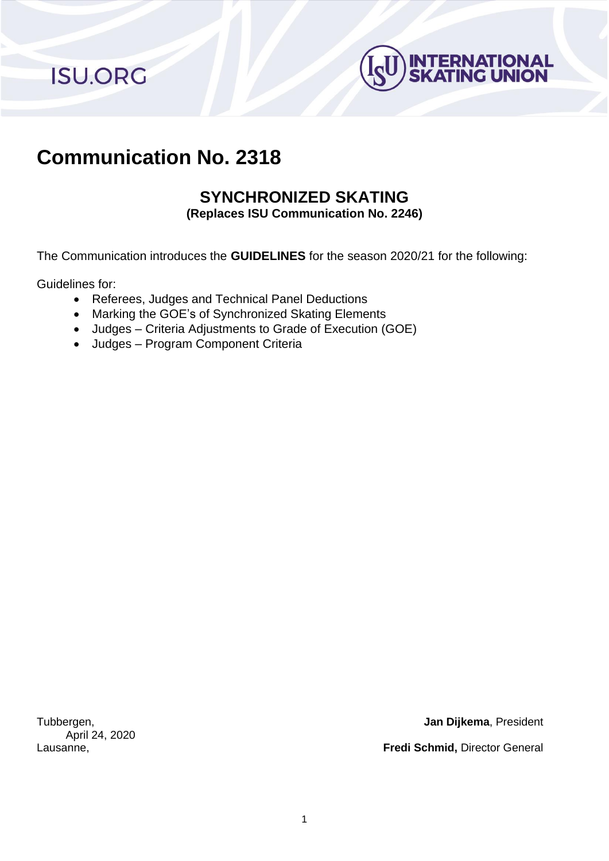**ISU.ORG** 



## **Communication No. 2318**

# **SYNCHRONIZED SKATING**

**(Replaces ISU Communication No. 2246)**

The Communication introduces the **GUIDELINES** for the season 2020/21 for the following:

Guidelines for:

- Referees, Judges and Technical Panel Deductions
- Marking the GOE's of Synchronized Skating Elements
- Judges Criteria Adjustments to Grade of Execution (GOE)
- Judges Program Component Criteria

April 24, 2020

Tubbergen, **Jan Dijkema**, President

Lausanne, **Fredi Schmid,** Director General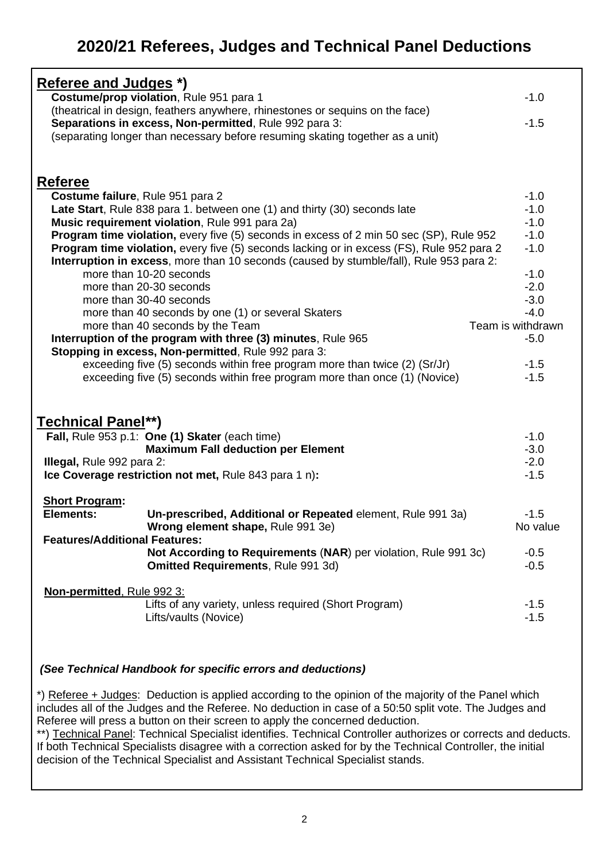### **2020/21 Referees, Judges and Technical Panel Deductions**

| <b>Referee and Judges *)</b>                                                                                       |                   |  |  |  |  |  |  |
|--------------------------------------------------------------------------------------------------------------------|-------------------|--|--|--|--|--|--|
| Costume/prop violation, Rule 951 para 1                                                                            | $-1.0$            |  |  |  |  |  |  |
| (theatrical in design, feathers anywhere, rhinestones or sequins on the face)                                      |                   |  |  |  |  |  |  |
| Separations in excess, Non-permitted, Rule 992 para 3:                                                             |                   |  |  |  |  |  |  |
| (separating longer than necessary before resuming skating together as a unit)                                      |                   |  |  |  |  |  |  |
|                                                                                                                    |                   |  |  |  |  |  |  |
|                                                                                                                    |                   |  |  |  |  |  |  |
|                                                                                                                    |                   |  |  |  |  |  |  |
| <b>Referee</b>                                                                                                     |                   |  |  |  |  |  |  |
| Costume failure, Rule 951 para 2                                                                                   | $-1.0$            |  |  |  |  |  |  |
| Late Start, Rule 838 para 1. between one (1) and thirty (30) seconds late                                          | $-1.0$            |  |  |  |  |  |  |
| Music requirement violation, Rule 991 para 2a)                                                                     | $-1.0$            |  |  |  |  |  |  |
| Program time violation, every five (5) seconds in excess of 2 min 50 sec (SP), Rule 952                            | $-1.0$            |  |  |  |  |  |  |
| Program time violation, every five (5) seconds lacking or in excess (FS), Rule 952 para 2                          | $-1.0$            |  |  |  |  |  |  |
| Interruption in excess, more than 10 seconds (caused by stumble/fall), Rule 953 para 2:<br>more than 10-20 seconds | $-1.0$            |  |  |  |  |  |  |
|                                                                                                                    | $-2.0$            |  |  |  |  |  |  |
| more than 20-30 seconds<br>more than 30-40 seconds                                                                 | $-3.0$            |  |  |  |  |  |  |
| more than 40 seconds by one (1) or several Skaters                                                                 | $-4.0$            |  |  |  |  |  |  |
| more than 40 seconds by the Team                                                                                   | Team is withdrawn |  |  |  |  |  |  |
| Interruption of the program with three (3) minutes, Rule 965                                                       | $-5.0$            |  |  |  |  |  |  |
| Stopping in excess, Non-permitted, Rule 992 para 3:                                                                |                   |  |  |  |  |  |  |
| exceeding five (5) seconds within free program more than twice (2) (Sr/Jr)                                         | $-1.5$            |  |  |  |  |  |  |
| exceeding five (5) seconds within free program more than once (1) (Novice)                                         | $-1.5$            |  |  |  |  |  |  |
|                                                                                                                    |                   |  |  |  |  |  |  |
|                                                                                                                    |                   |  |  |  |  |  |  |
| Technical Panel**)                                                                                                 |                   |  |  |  |  |  |  |
|                                                                                                                    | $-1.0$            |  |  |  |  |  |  |
| Fall, Rule 953 p.1: One (1) Skater (each time)<br><b>Maximum Fall deduction per Element</b>                        | $-3.0$            |  |  |  |  |  |  |
|                                                                                                                    | $-2.0$            |  |  |  |  |  |  |
| Illegal, Rule 992 para 2:                                                                                          | $-1.5$            |  |  |  |  |  |  |
| Ice Coverage restriction not met, Rule 843 para 1 n):                                                              |                   |  |  |  |  |  |  |
| <b>Short Program:</b>                                                                                              |                   |  |  |  |  |  |  |
| <b>Elements:</b><br>Un-prescribed, Additional or Repeated element, Rule 991 3a)                                    | $-1.5$            |  |  |  |  |  |  |
| Wrong element shape, Rule 991 3e)                                                                                  | No value          |  |  |  |  |  |  |
| <b>Features/Additional Features:</b>                                                                               |                   |  |  |  |  |  |  |
| Not According to Requirements (NAR) per violation, Rule 991 3c)                                                    | $-0.5$            |  |  |  |  |  |  |
| <b>Omitted Requirements, Rule 991 3d)</b>                                                                          | $-0.5$            |  |  |  |  |  |  |
|                                                                                                                    |                   |  |  |  |  |  |  |
| Non-permitted, Rule 992 3:                                                                                         |                   |  |  |  |  |  |  |
| Lifts of any variety, unless required (Short Program)                                                              | $-1.5$            |  |  |  |  |  |  |
| Lifts/vaults (Novice)                                                                                              | $-1.5$            |  |  |  |  |  |  |
|                                                                                                                    |                   |  |  |  |  |  |  |
|                                                                                                                    |                   |  |  |  |  |  |  |

#### *(See Technical Handbook for specific errors and deductions)*

\*) Referee + Judges: Deduction is applied according to the opinion of the majority of the Panel which includes all of the Judges and the Referee. No deduction in case of a 50:50 split vote. The Judges and Referee will press a button on their screen to apply the concerned deduction.

\*\*) Technical Panel: Technical Specialist identifies. Technical Controller authorizes or corrects and deducts. If both Technical Specialists disagree with a correction asked for by the Technical Controller, the initial decision of the Technical Specialist and Assistant Technical Specialist stands.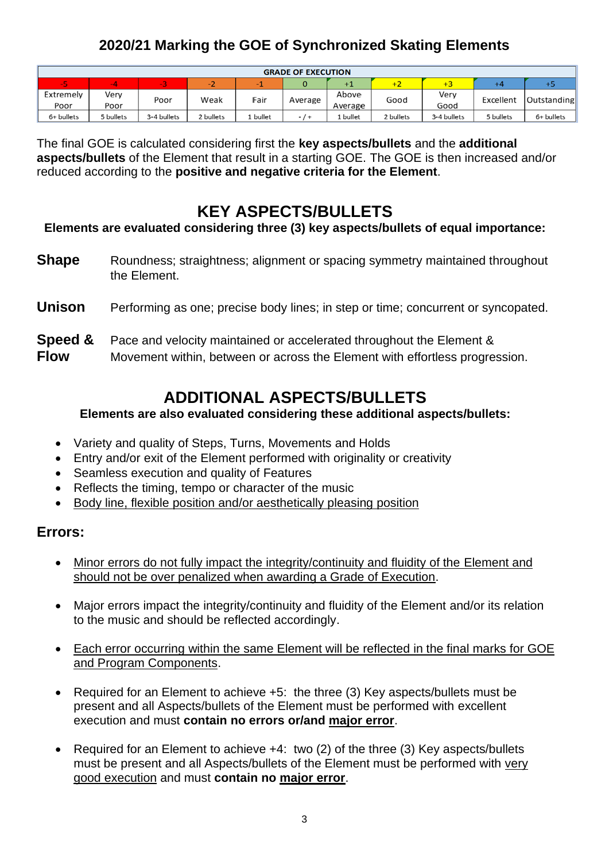### **2020/21 Marking the GOE of Synchronized Skating Elements**

| <b>GRADE OF EXECUTION</b> |           |             |           |              |         |         |            |             |           |             |
|---------------------------|-----------|-------------|-----------|--------------|---------|---------|------------|-------------|-----------|-------------|
| -5                        |           |             | -4        |              |         |         | <b>T4.</b> |             |           | г.          |
| Extremely                 | Verv      | Poor        |           | Fair<br>Weak | Average | Above   | Good       | Very        | Excellent | Outstanding |
| Poor                      | Poor      |             |           |              |         | Average |            | Good        |           |             |
| 6+ bullets                | 5 bullets | 3-4 bullets | 2 bullets | bullet       |         | bullet  | 2 bullets  | 3-4 bullets | 5 bullets | 6+ bullets  |

The final GOE is calculated considering first the **key aspects/bullets** and the **additional aspects/bullets** of the Element that result in a starting GOE. The GOE is then increased and/or reduced according to the **positive and negative criteria for the Element**.

### **KEY ASPECTS/BULLETS**

**Elements are evaluated considering three (3) key aspects/bullets of equal importance:**

**Shape** Roundness; straightness; alignment or spacing symmetry maintained throughout the Element.

#### **Unison** Performing as one; precise body lines; in step or time; concurrent or syncopated.

#### **Speed &** Pace and velocity maintained or accelerated throughout the Element &

**Flow** Movement within, between or across the Element with effortless progression.

### **ADDITIONAL ASPECTS/BULLETS**

**Elements are also evaluated considering these additional aspects/bullets:**

- Variety and quality of Steps, Turns, Movements and Holds
- Entry and/or exit of the Element performed with originality or creativity
- Seamless execution and quality of Features
- Reflects the timing, tempo or character of the music
- Body line, flexible position and/or aesthetically pleasing position

#### **Errors:**

- Minor errors do not fully impact the integrity/continuity and fluidity of the Element and should not be over penalized when awarding a Grade of Execution.
- Major errors impact the integrity/continuity and fluidity of the Element and/or its relation to the music and should be reflected accordingly.
- Each error occurring within the same Element will be reflected in the final marks for GOE and Program Components.
- Required for an Element to achieve +5: the three (3) Key aspects/bullets must be present and all Aspects/bullets of the Element must be performed with excellent execution and must **contain no errors or/and major error**.
- Required for an Element to achieve +4: two (2) of the three (3) Key aspects/bullets must be present and all Aspects/bullets of the Element must be performed with very good execution and must **contain no major error**.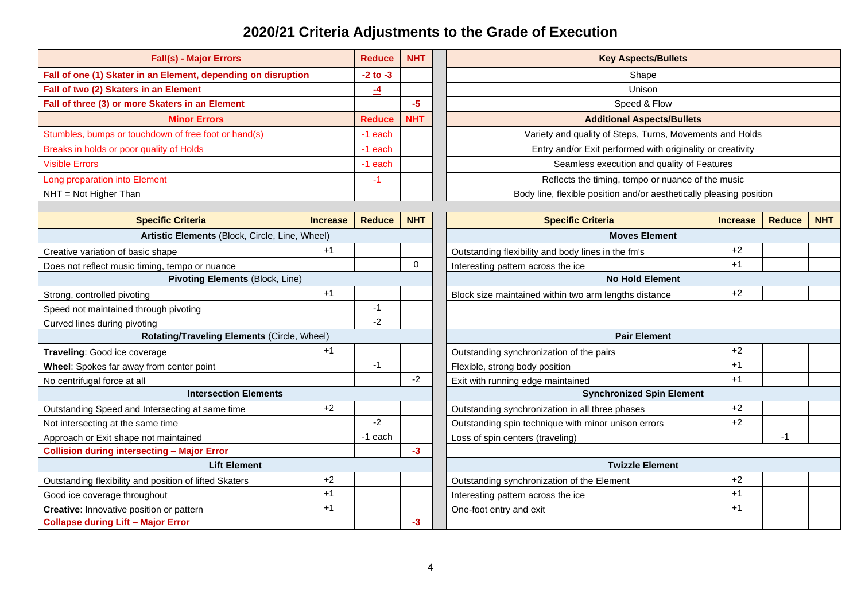### **2020/21 Criteria Adjustments to the Grade of Execution**

| <b>Fall(s) - Major Errors</b><br><b>Reduce</b><br><b>NHT</b>   |                        |                 |                                  | <b>Key Aspects/Bullets</b>                                          |                 |               |            |  |
|----------------------------------------------------------------|------------------------|-----------------|----------------------------------|---------------------------------------------------------------------|-----------------|---------------|------------|--|
| Fall of one (1) Skater in an Element, depending on disruption  |                        | $-2$ to $-3$    |                                  | Shape                                                               |                 |               |            |  |
| Fall of two (2) Skaters in an Element                          |                        | $\overline{-4}$ |                                  | Unison                                                              |                 |               |            |  |
| Fall of three (3) or more Skaters in an Element                |                        |                 | $-5$                             | Speed & Flow                                                        |                 |               |            |  |
| <b>Minor Errors</b>                                            |                        | <b>Reduce</b>   | <b>NHT</b>                       | <b>Additional Aspects/Bullets</b>                                   |                 |               |            |  |
| Stumbles, bumps or touchdown of free foot or hand(s)           |                        | -1 each         |                                  | Variety and quality of Steps, Turns, Movements and Holds            |                 |               |            |  |
| Breaks in holds or poor quality of Holds                       |                        | -1 each         |                                  | Entry and/or Exit performed with originality or creativity          |                 |               |            |  |
| <b>Visible Errors</b>                                          |                        | -1 each         |                                  | Seamless execution and quality of Features                          |                 |               |            |  |
| Long preparation into Element                                  |                        | $-1$            |                                  | Reflects the timing, tempo or nuance of the music                   |                 |               |            |  |
| NHT = Not Higher Than                                          |                        |                 |                                  | Body line, flexible position and/or aesthetically pleasing position |                 |               |            |  |
|                                                                |                        |                 |                                  |                                                                     |                 |               |            |  |
| <b>Specific Criteria</b>                                       | <b>Increase</b>        | <b>Reduce</b>   | <b>NHT</b>                       | <b>Specific Criteria</b>                                            | <b>Increase</b> | <b>Reduce</b> | <b>NHT</b> |  |
| Artistic Elements (Block, Circle, Line, Wheel)                 |                        |                 |                                  | <b>Moves Element</b>                                                |                 |               |            |  |
| Creative variation of basic shape                              | $+1$                   |                 |                                  | Outstanding flexibility and body lines in the fm's                  | $+2$            |               |            |  |
| Does not reflect music timing, tempo or nuance                 |                        |                 | $\Omega$                         | Interesting pattern across the ice                                  | $+1$            |               |            |  |
| Pivoting Elements (Block, Line)                                |                        |                 |                                  | <b>No Hold Element</b>                                              |                 |               |            |  |
| Strong, controlled pivoting                                    | $+1$                   |                 |                                  | Block size maintained within two arm lengths distance               | $+2$            |               |            |  |
| Speed not maintained through pivoting                          |                        |                 |                                  |                                                                     |                 |               |            |  |
| Curved lines during pivoting                                   |                        | $-2$            |                                  |                                                                     |                 |               |            |  |
| Rotating/Traveling Elements (Circle, Wheel)                    |                        |                 |                                  | <b>Pair Element</b>                                                 |                 |               |            |  |
| Traveling: Good ice coverage                                   | $+1$                   |                 |                                  | Outstanding synchronization of the pairs                            | $+2$            |               |            |  |
| Wheel: Spokes far away from center point                       |                        | $-1$            |                                  | $+1$<br>Flexible, strong body position                              |                 |               |            |  |
| No centrifugal force at all                                    |                        |                 | -2                               | Exit with running edge maintained                                   | $+1$            |               |            |  |
| <b>Intersection Elements</b>                                   |                        |                 | <b>Synchronized Spin Element</b> |                                                                     |                 |               |            |  |
| Outstanding Speed and Intersecting at same time                | $+2$                   |                 |                                  | Outstanding synchronization in all three phases                     | $+2$            |               |            |  |
| Not intersecting at the same time                              |                        | $-2$            |                                  | $+2$<br>Outstanding spin technique with minor unison errors         |                 |               |            |  |
| Approach or Exit shape not maintained                          |                        | -1 each         |                                  | Loss of spin centers (traveling)                                    |                 | $-1$          |            |  |
| <b>Collision during intersecting - Major Error</b>             |                        |                 | $-3$                             |                                                                     |                 |               |            |  |
| <b>Lift Element</b>                                            | <b>Twizzle Element</b> |                 |                                  |                                                                     |                 |               |            |  |
| $+2$<br>Outstanding flexibility and position of lifted Skaters |                        |                 |                                  | Outstanding synchronization of the Element                          | $+2$            |               |            |  |
| Good ice coverage throughout                                   | $+1$                   |                 |                                  | Interesting pattern across the ice                                  | $+1$            |               |            |  |
| Creative: Innovative position or pattern                       | $+1$                   |                 |                                  | One-foot entry and exit                                             | $+1$            |               |            |  |
| <b>Collapse during Lift - Major Error</b>                      |                        |                 | $-3$                             |                                                                     |                 |               |            |  |